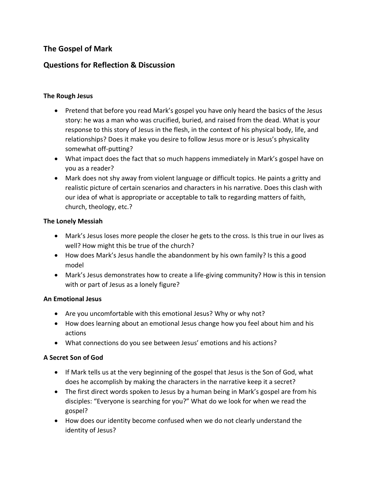# **The Gospel of Mark**

## **Questions for Reflection & Discussion**

## **The Rough Jesus**

- Pretend that before you read Mark's gospel you have only heard the basics of the Jesus story: he was a man who was crucified, buried, and raised from the dead. What is your response to this story of Jesus in the flesh, in the context of his physical body, life, and relationships? Does it make you desire to follow Jesus more or is Jesus's physicality somewhat off-putting?
- What impact does the fact that so much happens immediately in Mark's gospel have on you as a reader?
- Mark does not shy away from violent language or difficult topics. He paints a gritty and realistic picture of certain scenarios and characters in his narrative. Does this clash with our idea of what is appropriate or acceptable to talk to regarding matters of faith, church, theology, etc.?

## **The Lonely Messiah**

- Mark's Jesus loses more people the closer he gets to the cross. Is this true in our lives as well? How might this be true of the church?
- How does Mark's Jesus handle the abandonment by his own family? Is this a good model
- Mark's Jesus demonstrates how to create a life-giving community? How is this in tension with or part of Jesus as a lonely figure?

## **An Emotional Jesus**

- Are you uncomfortable with this emotional Jesus? Why or why not?
- How does learning about an emotional Jesus change how you feel about him and his actions
- What connections do you see between Jesus' emotions and his actions?

## **A Secret Son of God**

- If Mark tells us at the very beginning of the gospel that Jesus is the Son of God, what does he accomplish by making the characters in the narrative keep it a secret?
- The first direct words spoken to Jesus by a human being in Mark's gospel are from his disciples: "Everyone is searching for you?" What do we look for when we read the gospel?
- How does our identity become confused when we do not clearly understand the identity of Jesus?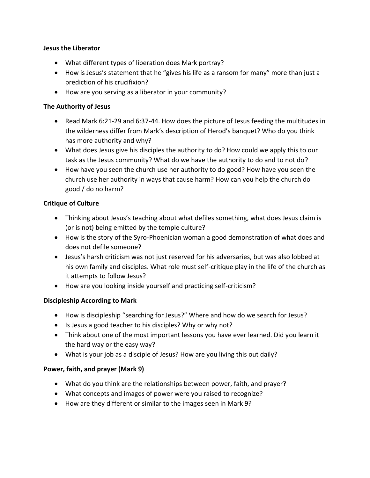#### **Jesus the Liberator**

- What different types of liberation does Mark portray?
- How is Jesus's statement that he "gives his life as a ransom for many" more than just a prediction of his crucifixion?
- How are you serving as a liberator in your community?

#### **The Authority of Jesus**

- Read Mark 6:21-29 and 6:37-44. How does the picture of Jesus feeding the multitudes in the wilderness differ from Mark's description of Herod's banquet? Who do you think has more authority and why?
- What does Jesus give his disciples the authority to do? How could we apply this to our task as the Jesus community? What do we have the authority to do and to not do?
- How have you seen the church use her authority to do good? How have you seen the church use her authority in ways that cause harm? How can you help the church do good / do no harm?

#### **Critique of Culture**

- Thinking about Jesus's teaching about what defiles something, what does Jesus claim is (or is not) being emitted by the temple culture?
- How is the story of the Syro-Phoenician woman a good demonstration of what does and does not defile someone?
- Jesus's harsh criticism was not just reserved for his adversaries, but was also lobbed at his own family and disciples. What role must self-critique play in the life of the church as it attempts to follow Jesus?
- How are you looking inside yourself and practicing self-criticism?

## **Discipleship According to Mark**

- How is discipleship "searching for Jesus?" Where and how do we search for Jesus?
- Is Jesus a good teacher to his disciples? Why or why not?
- Think about one of the most important lessons you have ever learned. Did you learn it the hard way or the easy way?
- What is your job as a disciple of Jesus? How are you living this out daily?

## **Power, faith, and prayer (Mark 9)**

- What do you think are the relationships between power, faith, and prayer?
- What concepts and images of power were you raised to recognize?
- How are they different or similar to the images seen in Mark 9?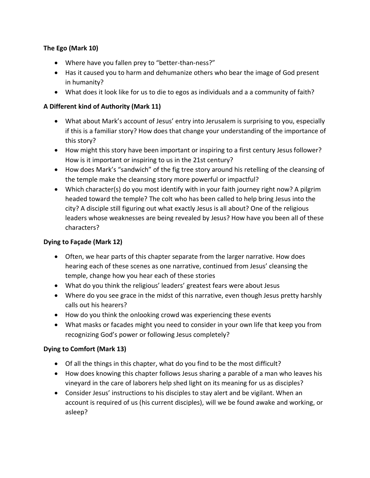## **The Ego (Mark 10)**

- Where have you fallen prey to "better-than-ness?"
- Has it caused you to harm and dehumanize others who bear the image of God present in humanity?
- What does it look like for us to die to egos as individuals and a a community of faith?

## **A Different kind of Authority (Mark 11)**

- What about Mark's account of Jesus' entry into Jerusalem is surprising to you, especially if this is a familiar story? How does that change your understanding of the importance of this story?
- How might this story have been important or inspiring to a first century Jesus follower? How is it important or inspiring to us in the 21st century?
- How does Mark's "sandwich" of the fig tree story around his retelling of the cleansing of the temple make the cleansing story more powerful or impactful?
- Which character(s) do you most identify with in your faith journey right now? A pilgrim headed toward the temple? The colt who has been called to help bring Jesus into the city? A disciple still figuring out what exactly Jesus is all about? One of the religious leaders whose weaknesses are being revealed by Jesus? How have you been all of these characters?

## **Dying to Façade (Mark 12)**

- Often, we hear parts of this chapter separate from the larger narrative. How does hearing each of these scenes as one narrative, continued from Jesus' cleansing the temple, change how you hear each of these stories
- What do you think the religious' leaders' greatest fears were about Jesus
- Where do you see grace in the midst of this narrative, even though Jesus pretty harshly calls out his hearers?
- How do you think the onlooking crowd was experiencing these events
- What masks or facades might you need to consider in your own life that keep you from recognizing God's power or following Jesus completely?

## **Dying to Comfort (Mark 13)**

- Of all the things in this chapter, what do you find to be the most difficult?
- How does knowing this chapter follows Jesus sharing a parable of a man who leaves his vineyard in the care of laborers help shed light on its meaning for us as disciples?
- Consider Jesus' instructions to his disciples to stay alert and be vigilant. When an account is required of us (his current disciples), will we be found awake and working, or asleep?